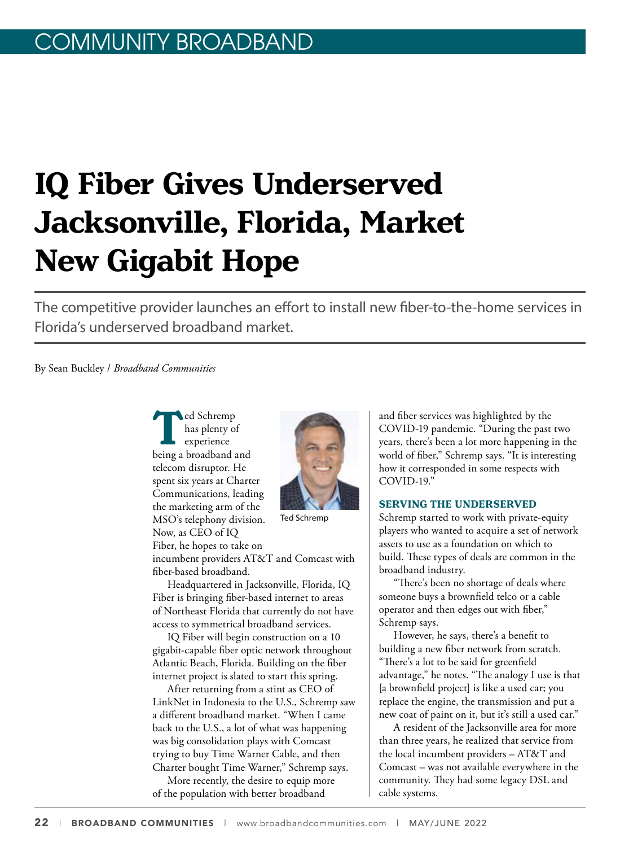# **IQ Fiber Gives Underserved Jacksonville, Florida, Market New Gigabit Hope**

The competitive provider launches an effort to install new fiber-to-the-home services in Florida's underserved broadband market.

By Sean Buckley / *Broadband Communities*

**The Schremp**<br>
has plenty of<br>
experience<br>
being a broadband and has plenty of experience telecom disruptor. He spent six years at Charter Communications, leading the marketing arm of the MSO's telephony division. Now, as CEO of IQ

Fiber, he hopes to take on

incumbent providers AT&T and Comcast with fiber-based broadband.

Headquartered in Jacksonville, Florida, IQ Fiber is bringing fiber-based internet to areas of Northeast Florida that currently do not have access to symmetrical broadband services.

IQ Fiber will begin construction on a 10 gigabit-capable fiber optic network throughout Atlantic Beach, Florida. Building on the fiber internet project is slated to start this spring.

After returning from a stint as CEO of LinkNet in Indonesia to the U.S., Schremp saw a different broadband market. "When I came back to the U.S., a lot of what was happening was big consolidation plays with Comcast trying to buy Time Warner Cable, and then Charter bought Time Warner," Schremp says.

More recently, the desire to equip more of the population with better broadband

and fiber services was highlighted by the COVID-19 pandemic. "During the past two years, there's been a lot more happening in the world of fiber," Schremp says. "It is interesting how it corresponded in some respects with COVID-19."

#### **SERVING THE UNDERSERVED**

Schremp started to work with private-equity players who wanted to acquire a set of network assets to use as a foundation on which to build. These types of deals are common in the broadband industry.

"There's been no shortage of deals where someone buys a brownfield telco or a cable operator and then edges out with fiber," Schremp says.

However, he says, there's a benefit to building a new fiber network from scratch. "There's a lot to be said for greenfield advantage," he notes. "The analogy I use is that [a brownfield project] is like a used car; you replace the engine, the transmission and put a new coat of paint on it, but it's still a used car."

A resident of the Jacksonville area for more than three years, he realized that service from the local incumbent providers – AT&T and Comcast – was not available everywhere in the community. They had some legacy DSL and cable systems.

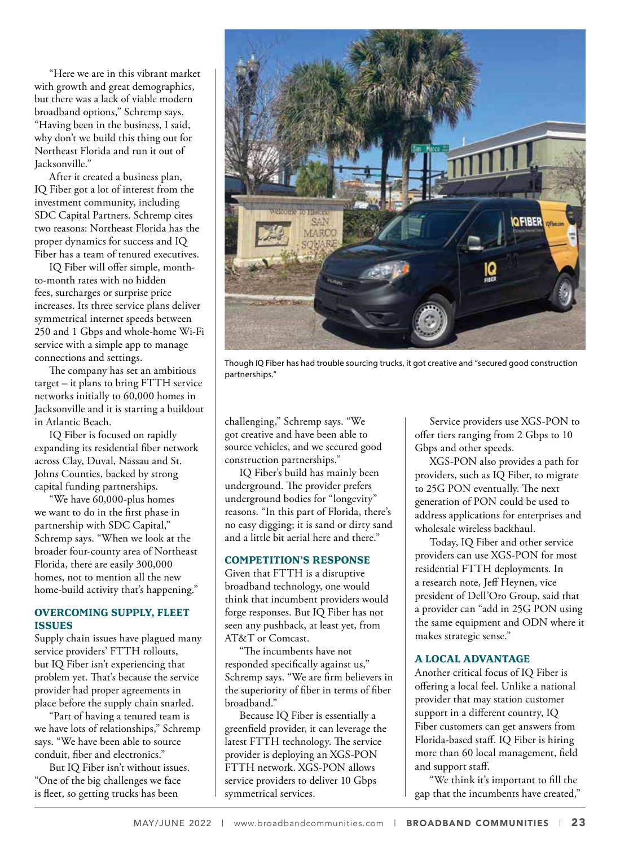"Here we are in this vibrant market with growth and great demographics, but there was a lack of viable modern broadband options," Schremp says. "Having been in the business, I said, why don't we build this thing out for Northeast Florida and run it out of Jacksonville."

After it created a business plan, IQ Fiber got a lot of interest from the investment community, including SDC Capital Partners. Schremp cites two reasons: Northeast Florida has the proper dynamics for success and IQ Fiber has a team of tenured executives.

IQ Fiber will offer simple, monthto-month rates with no hidden fees, surcharges or surprise price increases. Its three service plans deliver symmetrical internet speeds between 250 and 1 Gbps and whole-home Wi-Fi service with a simple app to manage connections and settings.

The company has set an ambitious target – it plans to bring FTTH service networks initially to 60,000 homes in Jacksonville and it is starting a buildout in Atlantic Beach.

IQ Fiber is focused on rapidly expanding its residential fiber network across Clay, Duval, Nassau and St. Johns Counties, backed by strong capital funding partnerships.

"We have 60,000-plus homes we want to do in the first phase in partnership with SDC Capital," Schremp says. "When we look at the broader four-county area of Northeast Florida, there are easily 300,000 homes, not to mention all the new home-build activity that's happening."

#### **OVERCOMING SUPPLY, FLEET ISSUES**

Supply chain issues have plagued many service providers' FTTH rollouts, but IQ Fiber isn't experiencing that problem yet. That's because the service provider had proper agreements in place before the supply chain snarled.

"Part of having a tenured team is we have lots of relationships," Schremp says. "We have been able to source conduit, fiber and electronics."

But IQ Fiber isn't without issues. "One of the big challenges we face is fleet, so getting trucks has been



Though IQ Fiber has had trouble sourcing trucks, it got creative and "secured good construction partnerships."

challenging," Schremp says. "We got creative and have been able to source vehicles, and we secured good construction partnerships."

IQ Fiber's build has mainly been underground. The provider prefers underground bodies for "longevity" reasons. "In this part of Florida, there's no easy digging; it is sand or dirty sand and a little bit aerial here and there."

# **COMPETITION'S RESPONSE**

Given that FTTH is a disruptive broadband technology, one would think that incumbent providers would forge responses. But IQ Fiber has not seen any pushback, at least yet, from AT&T or Comcast.

"The incumbents have not responded specifically against us," Schremp says. "We are firm believers in the superiority of fiber in terms of fiber broadband."

Because IQ Fiber is essentially a greenfield provider, it can leverage the latest FTTH technology. The service provider is deploying an XGS-PON FTTH network. XGS-PON allows service providers to deliver 10 Gbps symmetrical services.

Service providers use XGS-PON to offer tiers ranging from 2 Gbps to 10 Gbps and other speeds.

XGS-PON also provides a path for providers, such as IQ Fiber, to migrate to 25G PON eventually. The next generation of PON could be used to address applications for enterprises and wholesale wireless backhaul.

Today, IQ Fiber and other service providers can use XGS-PON for most residential FTTH deployments. In a research note, Jeff Heynen, vice president of Dell'Oro Group, said that a provider can "add in 25G PON using the same equipment and ODN where it makes strategic sense."

#### **A LOCAL ADVANTAGE**

Another critical focus of IQ Fiber is offering a local feel. Unlike a national provider that may station customer support in a different country, IQ Fiber customers can get answers from Florida-based staff. IQ Fiber is hiring more than 60 local management, field and support staff.

"We think it's important to fill the gap that the incumbents have created,"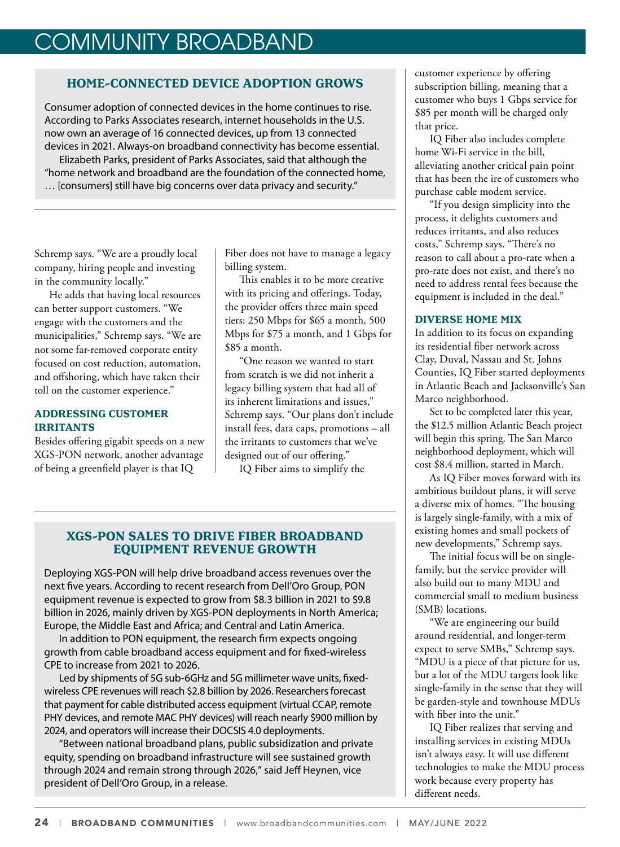# COMMUNITY BROADBAND

# **HOME-CONNECTED DEVICE ADOPTION GROWS**

Consumer adoption of connected devices in the home continues to rise. According to Parks Associates research, internet households in the U.S. now own an average of 16 connected devices, up from 13 connected devices in 2021. Always-on broadband connectivity has become essential. Elizabeth Parks, president of Parks Associates, said that although the "home network and broadband are the foundation of the connected home, … [consumers] still have big concerns over data privacy and security."

Schremp says. "We are a proudly local company, hiring people and investing in the community locally."

He adds that having local resources can better support customers. "We engage with the customers and the municipalities," Schremp says. "We are not some far-removed corporate entity focused on cost reduction, automation, and offshoring, which have taken their toll on the customer experience."

# **ADDRESSING CUSTOMER IRRITANTS**

Besides offering gigabit speeds on a new XGS-PON network, another advantage of being a greenfield player is that IQ

Fiber does not have to manage a legacy billing system.

This enables it to be more creative with its pricing and offerings. Today, the provider offers three main speed tiers: 250 Mbps for \$65 a month, 500 Mbps for \$75 a month, and 1 Gbps for \$85 a month.

"One reason we wanted to start from scratch is we did not inherit a legacy billing system that had all of its inherent limitations and issues," Schremp says. "Our plans don't include install fees, data caps, promotions – all the irritants to customers that we've designed out of our offering."

IQ Fiber aims to simplify the

# **XGS-PON SALES TO DRIVE FIBER BROADBAND EQUIPMENT REVENUE GROWTH**

Deploying XGS-PON will help drive broadband access revenues over the next five years. According to recent research from Dell'Oro Group, PON equipment revenue is expected to grow from \$8.3 billion in 2021 to \$9.8 billion in 2026, mainly driven by XGS-PON deployments in North America; Europe, the Middle East and Africa; and Central and Latin America.

In addition to PON equipment, the research firm expects ongoing growth from cable broadband access equipment and for fixed-wireless CPE to increase from 2021 to 2026.

Led by shipments of 5G sub-6GHz and 5G millimeter wave units, fixedwireless CPE revenues will reach \$2.8 billion by 2026. Researchers forecast that payment for cable distributed access equipment (virtual CCAP, remote PHY devices, and remote MAC PHY devices) will reach nearly \$900 million by 2024, and operators will increase their DOCSIS 4.0 deployments.

"Between national broadband plans, public subsidization and private equity, spending on broadband infrastructure will see sustained growth through 2024 and remain strong through 2026," said Jeff Heynen, vice president of Dell'Oro Group, in a release.

customer experience by offering subscription billing, meaning that a customer who buys 1 Gbps service for \$85 per month will be charged only that price.

IQ Fiber also includes complete home Wi-Fi service in the bill, alleviating another critical pain point that has been the ire of customers who purchase cable modem service.

"If you design simplicity into the process, it delights customers and reduces irritants, and also reduces costs," Schremp says. "There's no reason to call about a pro-rate when a pro-rate does not exist, and there's no need to address rental fees because the equipment is included in the deal."

# **DIVERSE HOME MIX**

In addition to its focus on expanding its residential fiber network across Clay, Duval, Nassau and St. Johns Counties, IQ Fiber started deployments in Atlantic Beach and Jacksonville's San Marco neighborhood.

Set to be completed later this year, the \$12.5 million Atlantic Beach project will begin this spring. The San Marco neighborhood deployment, which will cost \$8.4 million, started in March.

As IQ Fiber moves forward with its ambitious buildout plans, it will serve a diverse mix of homes. "The housing is largely single-family, with a mix of existing homes and small pockets of new developments," Schremp says.

The initial focus will be on singlefamily, but the service provider will also build out to many MDU and commercial small to medium business (SMB) locations.

"We are engineering our build around residential, and longer-term expect to serve SMBs," Schremp says. "MDU is a piece of that picture for us, but a lot of the MDU targets look like single-family in the sense that they will be garden-style and townhouse MDUs with fiber into the unit."

IQ Fiber realizes that serving and installing services in existing MDUs isn't always easy. It will use different technologies to make the MDU process work because every property has different needs.